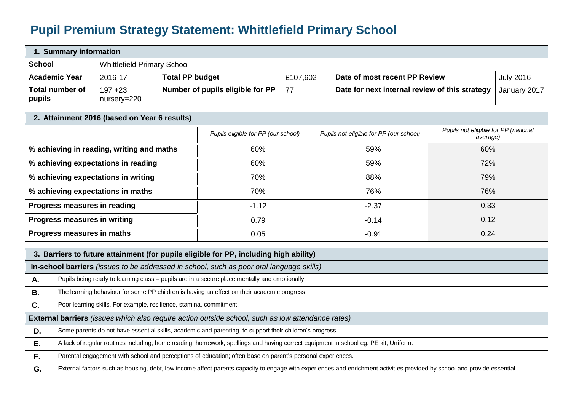## **Pupil Premium Strategy Statement: Whittlefield Primary School**

| 1. Summary information           |                                    |                                  |          |                                                |                  |  |
|----------------------------------|------------------------------------|----------------------------------|----------|------------------------------------------------|------------------|--|
| <b>School</b>                    | <b>Whittlefield Primary School</b> |                                  |          |                                                |                  |  |
| <b>Academic Year</b>             | 2016-17                            | <b>Total PP budget</b>           | £107,602 | Date of most recent PP Review                  | <b>July 2016</b> |  |
| <b>Total number of</b><br>pupils | $197 + 23$<br>nursery=220          | Number of pupils eligible for PP | -77      | Date for next internal review of this strategy | January 2017     |  |

| 2. Attainment 2016 (based on Year 6 results) |                                     |                                         |                                                  |  |  |  |
|----------------------------------------------|-------------------------------------|-----------------------------------------|--------------------------------------------------|--|--|--|
|                                              | Pupils eligible for PP (our school) | Pupils not eligible for PP (our school) | Pupils not eligible for PP (national<br>average) |  |  |  |
| % achieving in reading, writing and maths    | 60%                                 | 59%                                     | 60%                                              |  |  |  |
| % achieving expectations in reading          | 60%                                 | 59%                                     | 72%                                              |  |  |  |
| % achieving expectations in writing          | 70%                                 | 88%                                     | 79%                                              |  |  |  |
| % achieving expectations in maths            | 70%                                 | 76%                                     | 76%                                              |  |  |  |
| Progress measures in reading                 | $-1.12$                             | $-2.37$                                 | 0.33                                             |  |  |  |
| Progress measures in writing                 | 0.79                                | $-0.14$                                 | 0.12                                             |  |  |  |
| Progress measures in maths                   | 0.05                                | $-0.91$                                 | 0.24                                             |  |  |  |

|           | 3. Barriers to future attainment (for pupils eligible for PP, including high ability)                                                                                    |  |  |  |  |
|-----------|--------------------------------------------------------------------------------------------------------------------------------------------------------------------------|--|--|--|--|
|           | In-school barriers (issues to be addressed in school, such as poor oral language skills)                                                                                 |  |  |  |  |
| А.        | Pupils being ready to learning class - pupils are in a secure place mentally and emotionally.                                                                            |  |  |  |  |
| <b>B.</b> | The learning behaviour for some PP children is having an effect on their academic progress.                                                                              |  |  |  |  |
| C.        | Poor learning skills. For example, resilience, stamina, commitment.                                                                                                      |  |  |  |  |
|           | External barriers (issues which also require action outside school, such as low attendance rates)                                                                        |  |  |  |  |
| D.        | Some parents do not have essential skills, academic and parenting, to support their children's progress.                                                                 |  |  |  |  |
| Ε.        | A lack of regular routines including; home reading, homework, spellings and having correct equipment in school eg. PE kit, Uniform.                                      |  |  |  |  |
| F.        | Parental engagement with school and perceptions of education; often base on parent's personal experiences.                                                               |  |  |  |  |
| G.        | External factors such as housing, debt, low income affect parents capacity to engage with experiences and enrichment activities provided by school and provide essential |  |  |  |  |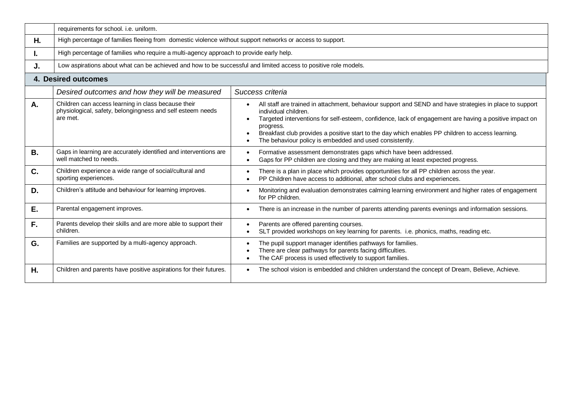|           | requirements for school. i.e. uniform.                                                                                        |                                                                                                                                                                                                                                                                                                                                                                                                                        |  |  |  |  |
|-----------|-------------------------------------------------------------------------------------------------------------------------------|------------------------------------------------------------------------------------------------------------------------------------------------------------------------------------------------------------------------------------------------------------------------------------------------------------------------------------------------------------------------------------------------------------------------|--|--|--|--|
| Η.        | High percentage of families fleeing from domestic violence without support networks or access to support.                     |                                                                                                                                                                                                                                                                                                                                                                                                                        |  |  |  |  |
| ı.        | High percentage of families who require a multi-agency approach to provide early help.                                        |                                                                                                                                                                                                                                                                                                                                                                                                                        |  |  |  |  |
| J.        | Low aspirations about what can be achieved and how to be successful and limited access to positive role models.               |                                                                                                                                                                                                                                                                                                                                                                                                                        |  |  |  |  |
|           | <b>4. Desired outcomes</b>                                                                                                    |                                                                                                                                                                                                                                                                                                                                                                                                                        |  |  |  |  |
|           | Desired outcomes and how they will be measured                                                                                | Success criteria                                                                                                                                                                                                                                                                                                                                                                                                       |  |  |  |  |
| Α.        | Children can access learning in class because their<br>physiological, safety, belongingness and self esteem needs<br>are met. | All staff are trained in attachment, behaviour support and SEND and have strategies in place to support<br>individual children.<br>Targeted interventions for self-esteem, confidence, lack of engagement are having a positive impact on<br>progress.<br>Breakfast club provides a positive start to the day which enables PP children to access learning.<br>The behaviour policy is embedded and used consistently. |  |  |  |  |
| <b>B.</b> | Gaps in learning are accurately identified and interventions are<br>well matched to needs.                                    | Formative assessment demonstrates gaps which have been addressed.<br>Gaps for PP children are closing and they are making at least expected progress.                                                                                                                                                                                                                                                                  |  |  |  |  |
| C.        | Children experience a wide range of social/cultural and<br>sporting experiences.                                              | There is a plan in place which provides opportunities for all PP children across the year.<br>PP Children have access to additional, after school clubs and experiences.                                                                                                                                                                                                                                               |  |  |  |  |
| D.        | Children's attitude and behaviour for learning improves.                                                                      | Monitoring and evaluation demonstrates calming learning environment and higher rates of engagement<br>for PP children.                                                                                                                                                                                                                                                                                                 |  |  |  |  |
| Ε.        | Parental engagement improves.                                                                                                 | There is an increase in the number of parents attending parents evenings and information sessions.                                                                                                                                                                                                                                                                                                                     |  |  |  |  |
| F.        | Parents develop their skills and are more able to support their<br>children.                                                  | Parents are offered parenting courses.<br>SLT provided workshops on key learning for parents. i.e. phonics, maths, reading etc.                                                                                                                                                                                                                                                                                        |  |  |  |  |
| G.        | Families are supported by a multi-agency approach.                                                                            | The pupil support manager identifies pathways for families.<br>There are clear pathways for parents facing difficulties.<br>The CAF process is used effectively to support families.                                                                                                                                                                                                                                   |  |  |  |  |
| Η.        | Children and parents have positive aspirations for their futures.                                                             | The school vision is embedded and children understand the concept of Dream, Believe, Achieve.                                                                                                                                                                                                                                                                                                                          |  |  |  |  |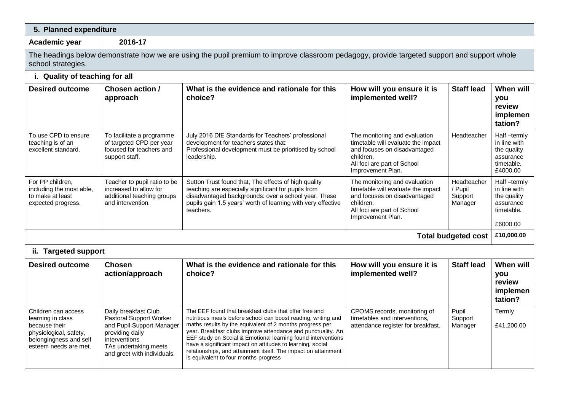| 5. Planned expenditure                                                                                                                                            |                                                                                                                                                                           |                                                                                                                                                                                                                                                                                                                                                                                                                                                                                              |                                                                                                                                                                      |                                              |                                                                                   |  |  |
|-------------------------------------------------------------------------------------------------------------------------------------------------------------------|---------------------------------------------------------------------------------------------------------------------------------------------------------------------------|----------------------------------------------------------------------------------------------------------------------------------------------------------------------------------------------------------------------------------------------------------------------------------------------------------------------------------------------------------------------------------------------------------------------------------------------------------------------------------------------|----------------------------------------------------------------------------------------------------------------------------------------------------------------------|----------------------------------------------|-----------------------------------------------------------------------------------|--|--|
| Academic year                                                                                                                                                     | 2016-17                                                                                                                                                                   |                                                                                                                                                                                                                                                                                                                                                                                                                                                                                              |                                                                                                                                                                      |                                              |                                                                                   |  |  |
| The headings below demonstrate how we are using the pupil premium to improve classroom pedagogy, provide targeted support and support whole<br>school strategies. |                                                                                                                                                                           |                                                                                                                                                                                                                                                                                                                                                                                                                                                                                              |                                                                                                                                                                      |                                              |                                                                                   |  |  |
| i. Quality of teaching for all                                                                                                                                    |                                                                                                                                                                           |                                                                                                                                                                                                                                                                                                                                                                                                                                                                                              |                                                                                                                                                                      |                                              |                                                                                   |  |  |
| <b>Desired outcome</b>                                                                                                                                            | Chosen action /<br>approach                                                                                                                                               | What is the evidence and rationale for this<br>choice?                                                                                                                                                                                                                                                                                                                                                                                                                                       | How will you ensure it is<br>implemented well?                                                                                                                       | <b>Staff lead</b>                            | When will<br>you<br>review<br>implemen<br>tation?                                 |  |  |
| To use CPD to ensure<br>teaching is of an<br>excellent standard.                                                                                                  | To facilitate a programme<br>of targeted CPD per year<br>focused for teachers and<br>support staff.                                                                       | July 2016 DfE Standards for Teachers' professional<br>development for teachers states that:<br>Professional development must be prioritised by school<br>leadership.                                                                                                                                                                                                                                                                                                                         | The monitoring and evaluation<br>timetable will evaluate the impact<br>and focuses on disadvantaged<br>children.<br>All foci are part of School<br>Improvement Plan. | Headteacher                                  | Half-termly<br>in line with<br>the quality<br>assurance<br>timetable.<br>£4000.00 |  |  |
| For PP children,<br>including the most able,<br>to make at least<br>expected progress.                                                                            | Teacher to pupil ratio to be<br>increased to allow for<br>additional teaching groups<br>and intervention.                                                                 | Sutton Trust found that, The effects of high quality<br>teaching are especially significant for pupils from<br>disadvantaged backgrounds: over a school year. These<br>pupils gain 1.5 years' worth of learning with very effective<br>teachers.                                                                                                                                                                                                                                             | The monitoring and evaluation<br>timetable will evaluate the impact<br>and focuses on disadvantaged<br>children.<br>All foci are part of School<br>Improvement Plan. | Headteacher<br>/ Pupil<br>Support<br>Manager | Half-termly<br>in line with<br>the quality<br>assurance<br>timetable.<br>£6000.00 |  |  |
|                                                                                                                                                                   |                                                                                                                                                                           |                                                                                                                                                                                                                                                                                                                                                                                                                                                                                              |                                                                                                                                                                      | <b>Total budgeted cost</b>                   | £10,000.00                                                                        |  |  |
| ii. Targeted support                                                                                                                                              |                                                                                                                                                                           |                                                                                                                                                                                                                                                                                                                                                                                                                                                                                              |                                                                                                                                                                      |                                              |                                                                                   |  |  |
| <b>Desired outcome</b>                                                                                                                                            | <b>Chosen</b><br>action/approach                                                                                                                                          | What is the evidence and rationale for this<br>choice?                                                                                                                                                                                                                                                                                                                                                                                                                                       | How will you ensure it is<br>implemented well?                                                                                                                       | <b>Staff lead</b>                            | When will<br>you<br>review<br>implemen<br>tation?                                 |  |  |
| Children can access<br>learning in class<br>because their<br>physiological, safety,<br>belongingness and self<br>esteem needs are met.                            | Daily breakfast Club.<br>Pastoral Support Worker<br>and Pupil Support Manager<br>providing daily<br>interventions<br>TAs undertaking meets<br>and greet with individuals. | The EEF found that breakfast clubs that offer free and<br>nutritious meals before school can boost reading, writing and<br>maths results by the equivalent of 2 months progress per<br>year. Breakfast clubs improve attendance and punctuality. An<br>EEF study on Social & Emotional learning found interventions<br>have a significant impact on attitudes to learning, social<br>relationships, and attainment itself. The impact on attainment<br>is equivalent to four months progress | CPOMS records, monitoring of<br>timetables and interventions.<br>attendance register for breakfast.                                                                  | Pupil<br>Support<br>Manager                  | Termly<br>£41,200.00                                                              |  |  |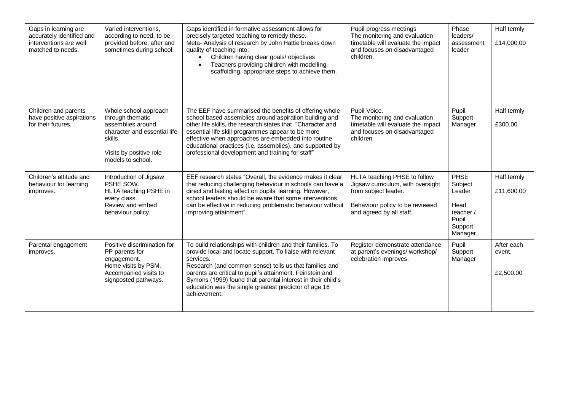| Gaps in learning are<br>accurately identified and<br>interventions are well<br>matched to needs. | Varied interventions,<br>according to need, to be<br>provided before, after and<br>sometimes during school.                                               | Gaps identified in formative assessment allows for<br>precisely targeted teaching to remedy these.<br>Meta- Analysis of research by John Hattie breaks down<br>quality of teaching into:<br>Children having clear goals/ objectives<br>Teachers providing children with modelling,<br>scaffolding, appropriate steps to achieve them.                                                                       | Pupil progress meetings<br>The monitoring and evaluation<br>timetable will evaluate the impact<br>and focuses on disadvantaged<br>children.              | Phase<br>leaders/<br>assessment<br>leader                                            | Half termly<br>£14,000.00         |
|--------------------------------------------------------------------------------------------------|-----------------------------------------------------------------------------------------------------------------------------------------------------------|-------------------------------------------------------------------------------------------------------------------------------------------------------------------------------------------------------------------------------------------------------------------------------------------------------------------------------------------------------------------------------------------------------------|----------------------------------------------------------------------------------------------------------------------------------------------------------|--------------------------------------------------------------------------------------|-----------------------------------|
| Children and parents<br>have positive aspirations<br>for their futures.                          | Whole school approach<br>through thematic<br>assemblies around<br>character and essential life<br>skills.<br>Visits by positive role<br>models to school. | The EEF have summarised the benefits of offering whole<br>school based assemblies around aspiration building and<br>other life skills, the research states that "Character and<br>essential life skill programmes appear to be more<br>effective when approaches are embedded into routine<br>educational practices (i.e. assemblies), and supported by<br>professional development and training for staff" | Pupil Voice.<br>The monitoring and evaluation<br>timetable will evaluate the impact<br>and focuses on disadvantaged<br>children.                         | Pupil<br>Support<br>Manager                                                          | Half termly<br>£300.00            |
| Children's attitude and<br>behaviour for learning<br>improves.                                   | Introduction of Jigsaw<br>PSHE SOW.<br>HLTA teaching PSHE in<br>every class.<br>Review and embed<br>behaviour policy.                                     | EEF research states "Overall, the evidence makes it clear<br>that reducing challenging behaviour in schools can have a<br>direct and lasting effect on pupils' learning. However,<br>school leaders should be aware that some interventions<br>can be effective in reducing problematic behaviour without<br>improving attainment".                                                                         | HLTA teaching PHSE to follow<br>Jigsaw curriculum, with oversight<br>from subject leader.<br>Behaviour policy to be reviewed<br>and agreed by all staff. | <b>PHSE</b><br>Subject<br>Leader<br>Head<br>teacher /<br>Pupil<br>Support<br>Manager | Half termly<br>£11,600.00         |
| Parental engagement<br>improves.                                                                 | Positive discrimination for<br>PP parents for<br>engagement.<br>Home visits by PSM.<br>Accompanied visits to<br>signposted pathways.                      | To build relationships with children and their families. To<br>provide local and locate support. To liaise with relevant<br>services.<br>Research (and common sense) tells us that families and<br>parents are critical to pupil's attainment. Feinstein and<br>Symons (1999) found that parental interest in their child's<br>education was the single greatest predictor of age 16<br>achievement.        | Register demonstrate attendance<br>at parent's evenings/ workshop/<br>celebration improves.                                                              | Pupil<br>Support<br>Manager                                                          | After each<br>event.<br>£2,500.00 |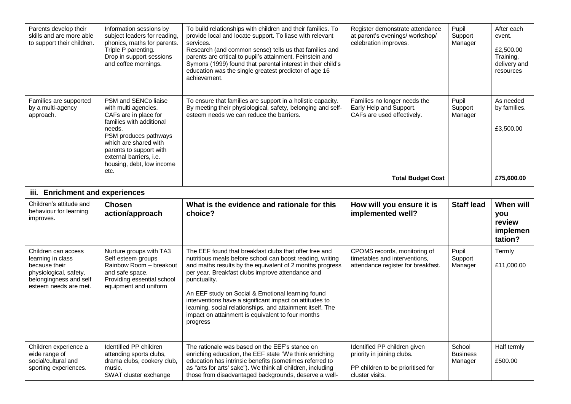| Parents develop their<br>skills and are more able<br>to support their children.                                                        | Information sessions by<br>subject leaders for reading,<br>phonics, maths for parents.<br>Triple P parenting.<br>Drop in support sessions<br>and coffee mornings.                                                                                        | To build relationships with children and their families. To<br>provide local and locate support. To liase with relevant<br>services.<br>Research (and common sense) tells us that families and<br>parents are critical to pupil's attainment. Feinstein and<br>Symons (1999) found that parental interest in their child's<br>education was the single greatest predictor of age 16<br>achievement.                                                                                                | Register demonstrate attendance<br>at parent's evenings/ workshop/<br>celebration improves.         | Pupil<br>Support<br>Manager | After each<br>event.<br>£2,500.00<br>Training,<br>delivery and<br>resources |
|----------------------------------------------------------------------------------------------------------------------------------------|----------------------------------------------------------------------------------------------------------------------------------------------------------------------------------------------------------------------------------------------------------|----------------------------------------------------------------------------------------------------------------------------------------------------------------------------------------------------------------------------------------------------------------------------------------------------------------------------------------------------------------------------------------------------------------------------------------------------------------------------------------------------|-----------------------------------------------------------------------------------------------------|-----------------------------|-----------------------------------------------------------------------------|
| Families are supported<br>by a multi-agency<br>approach.                                                                               | PSM and SENCo liaise<br>with multi agencies.<br>CAFs are in place for<br>families with additional<br>needs.<br>PSM produces pathways<br>which are shared with<br>parents to support with<br>external barriers, i.e.<br>housing, debt, low income<br>etc. | To ensure that families are support in a holistic capacity.<br>By meeting their physiological, safety, belonging and self-<br>esteem needs we can reduce the barriers.                                                                                                                                                                                                                                                                                                                             | Families no longer needs the<br>Early Help and Support.<br>CAFs are used effectively.               | Pupil<br>Support<br>Manager | As needed<br>by families.<br>£3,500.00                                      |
| iii. Enrichment and experiences                                                                                                        |                                                                                                                                                                                                                                                          |                                                                                                                                                                                                                                                                                                                                                                                                                                                                                                    | <b>Total Budget Cost</b>                                                                            |                             | £75,600.00                                                                  |
| Children's attitude and                                                                                                                | <b>Chosen</b>                                                                                                                                                                                                                                            | What is the evidence and rationale for this                                                                                                                                                                                                                                                                                                                                                                                                                                                        | How will you ensure it is                                                                           | <b>Staff lead</b>           | When will                                                                   |
| behaviour for learning<br>improves.                                                                                                    | action/approach                                                                                                                                                                                                                                          | choice?                                                                                                                                                                                                                                                                                                                                                                                                                                                                                            | implemented well?                                                                                   |                             | you<br>review                                                               |
|                                                                                                                                        |                                                                                                                                                                                                                                                          |                                                                                                                                                                                                                                                                                                                                                                                                                                                                                                    |                                                                                                     |                             | implemen<br>tation?                                                         |
| Children can access<br>learning in class<br>because their<br>physiological, safety,<br>belongingness and self<br>esteem needs are met. | Nurture groups with TA3<br>Self esteem groups<br>Rainbow Room - breakout<br>and safe space.<br>Providing essential school<br>equipment and uniform                                                                                                       | The EEF found that breakfast clubs that offer free and<br>nutritious meals before school can boost reading, writing<br>and maths results by the equivalent of 2 months progress<br>per year. Breakfast clubs improve attendance and<br>punctuality.<br>An EEF study on Social & Emotional learning found<br>interventions have a significant impact on attitudes to<br>learning, social relationships, and attainment itself. The<br>impact on attainment is equivalent to four months<br>progress | CPOMS records, monitoring of<br>timetables and interventions,<br>attendance register for breakfast. | Pupil<br>Support<br>Manager | Termly<br>£11,000.00                                                        |